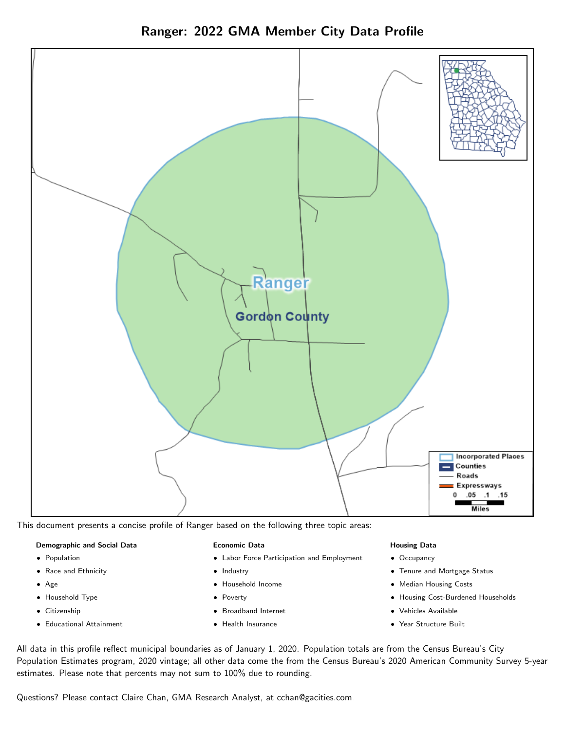Ranger: 2022 GMA Member City Data Profile



This document presents a concise profile of Ranger based on the following three topic areas:

#### Demographic and Social Data

- **•** Population
- Race and Ethnicity
- Age
- Household Type
- **Citizenship**
- Educational Attainment

#### Economic Data

- Labor Force Participation and Employment
- Industry
- Household Income
- Poverty
- Broadband Internet
- Health Insurance

#### Housing Data

- Occupancy
- Tenure and Mortgage Status
- Median Housing Costs
- Housing Cost-Burdened Households
- Vehicles Available
- Year Structure Built

All data in this profile reflect municipal boundaries as of January 1, 2020. Population totals are from the Census Bureau's City Population Estimates program, 2020 vintage; all other data come the from the Census Bureau's 2020 American Community Survey 5-year estimates. Please note that percents may not sum to 100% due to rounding.

Questions? Please contact Claire Chan, GMA Research Analyst, at [cchan@gacities.com.](mailto:cchan@gacities.com)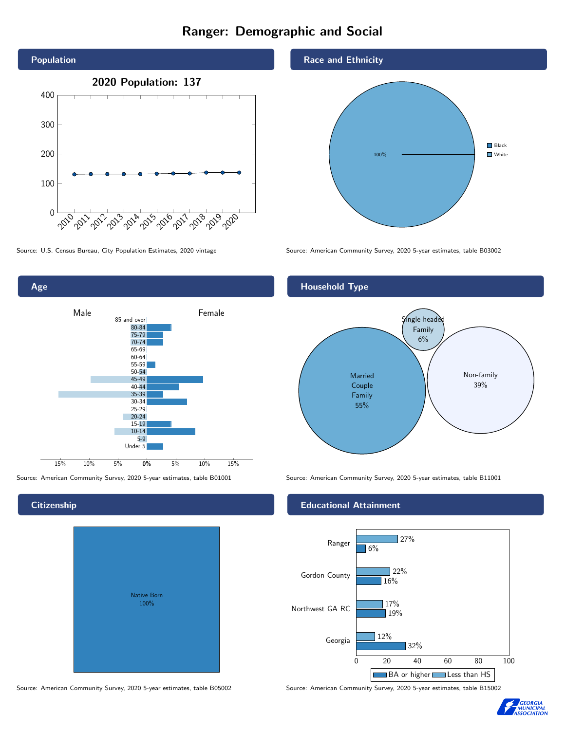# Ranger: Demographic and Social





**Citizenship** 

# Native Born 100%

#### Race and Ethnicity



Source: U.S. Census Bureau, City Population Estimates, 2020 vintage Source: American Community Survey, 2020 5-year estimates, table B03002

# Household Type



Source: American Community Survey, 2020 5-year estimates, table B01001 Source: American Community Survey, 2020 5-year estimates, table B11001

# Educational Attainment



Source: American Community Survey, 2020 5-year estimates, table B05002 Source: American Community Survey, 2020 5-year estimates, table B15002

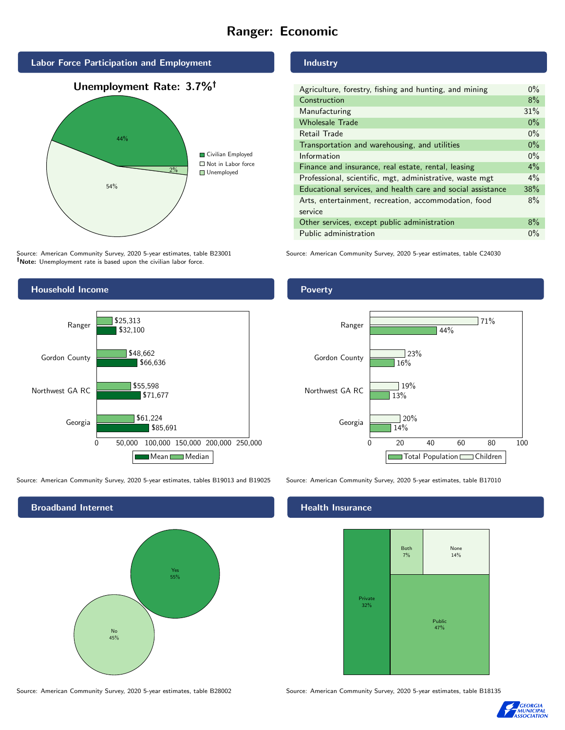# Ranger: Economic



Source: American Community Survey, 2020 5-year estimates, table B23001 Note: Unemployment rate is based upon the civilian labor force.

# Industry

| Agriculture, forestry, fishing and hunting, and mining      | $0\%$ |
|-------------------------------------------------------------|-------|
| Construction                                                | 8%    |
| Manufacturing                                               | 31%   |
| <b>Wholesale Trade</b>                                      | $0\%$ |
| Retail Trade                                                | $0\%$ |
| Transportation and warehousing, and utilities               | $0\%$ |
| Information                                                 | $0\%$ |
| Finance and insurance, real estate, rental, leasing         | $4\%$ |
| Professional, scientific, mgt, administrative, waste mgt    | $4\%$ |
| Educational services, and health care and social assistance | 38%   |
| Arts, entertainment, recreation, accommodation, food        | 8%    |
| service                                                     |       |
| Other services, except public administration                | $8\%$ |
| Public administration                                       | $0\%$ |

Source: American Community Survey, 2020 5-year estimates, table C24030



Source: American Community Survey, 2020 5-year estimates, tables B19013 and B19025 Source: American Community Survey, 2020 5-year estimates, table B17010

Broadband Internet No 45% Yes 55%

## Health Insurance





# **Poverty**



Source: American Community Survey, 2020 5-year estimates, table B28002 Source: American Community Survey, 2020 5-year estimates, table B18135